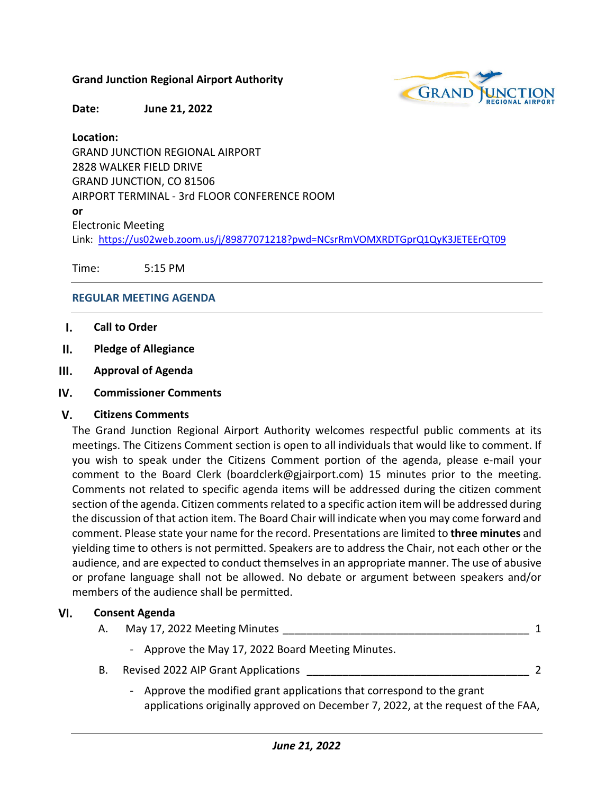# **Grand Junction Regional Airport Authority**



**Date: June 21, 2022**

# **Location:**

GRAND JUNCTION REGIONAL AIRPORT 2828 WALKER FIELD DRIVE GRAND JUNCTION, CO 81506 AIRPORT TERMINAL - 3rd FLOOR CONFERENCE ROOM **or** Electronic Meeting Link: <https://us02web.zoom.us/j/89877071218?pwd=NCsrRmVOMXRDTGprQ1QyK3JETEErQT09>

Time: 5:15 PM

# **REGULAR MEETING AGENDA**

- I. **Call to Order**
- $II.$ **Pledge of Allegiance**
- $III.$ **Approval of Agenda**
- IV. **Commissioner Comments**

#### V. **Citizens Comments**

The Grand Junction Regional Airport Authority welcomes respectful public comments at its meetings. The Citizens Comment section is open to all individuals that would like to comment. If you wish to speak under the Citizens Comment portion of the agenda, please e-mail your comment to the Board Clerk (boardclerk@gjairport.com) 15 minutes prior to the meeting. Comments not related to specific agenda items will be addressed during the citizen comment section of the agenda. Citizen comments related to a specific action item will be addressed during the discussion of that action item. The Board Chair will indicate when you may come forward and comment. Please state your name for the record. Presentations are limited to **three minutes** and yielding time to others is not permitted. Speakers are to address the Chair, not each other or the audience, and are expected to conduct themselves in an appropriate manner. The use of abusive or profane language shall not be allowed. No debate or argument between speakers and/or members of the audience shall be permitted.

#### $VI.$ **Consent Agenda**

| A. | May 17, 2022 Meeting Minutes                                           |  |
|----|------------------------------------------------------------------------|--|
|    | - Approve the May 17, 2022 Board Meeting Minutes.                      |  |
| В. | Revised 2022 AIP Grant Applications                                    |  |
|    | - Approve the modified grant applications that correspond to the grant |  |

applications originally approved on December 7, 2022, at the request of the FAA,